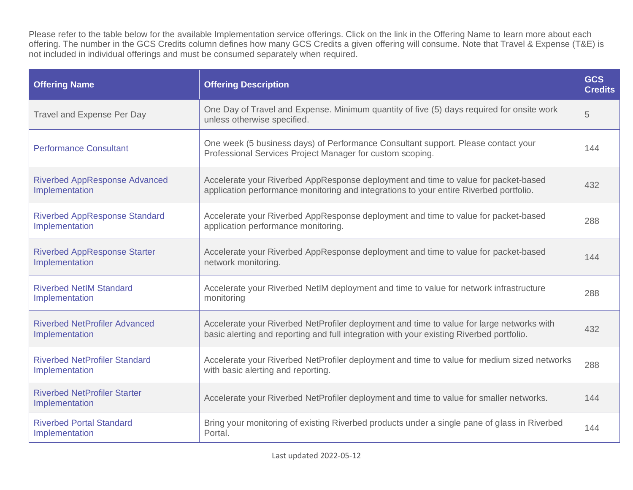Please refer to the table below for the available Implementation service offerings. Click on the link in the Offering Name to learn more about each offering. The number in the GCS Credits column defines how many GCS Credits a given offering will consume. Note that Travel & Expense (T&E) is not included in individual offerings and must be consumed separately when required.

| <b>Offering Name</b>                                   | <b>Offering Description</b>                                                                                                                                                           | <b>GCS</b><br><b>Credits</b> |
|--------------------------------------------------------|---------------------------------------------------------------------------------------------------------------------------------------------------------------------------------------|------------------------------|
| <b>Travel and Expense Per Day</b>                      | One Day of Travel and Expense. Minimum quantity of five (5) days required for onsite work<br>unless otherwise specified.                                                              | 5                            |
| <b>Performance Consultant</b>                          | One week (5 business days) of Performance Consultant support. Please contact your<br>Professional Services Project Manager for custom scoping.                                        | 144                          |
| <b>Riverbed AppResponse Advanced</b><br>Implementation | Accelerate your Riverbed AppResponse deployment and time to value for packet-based<br>application performance monitoring and integrations to your entire Riverbed portfolio.          | 432                          |
| <b>Riverbed AppResponse Standard</b><br>Implementation | Accelerate your Riverbed AppResponse deployment and time to value for packet-based<br>application performance monitoring.                                                             | 288                          |
| <b>Riverbed AppResponse Starter</b><br>Implementation  | Accelerate your Riverbed AppResponse deployment and time to value for packet-based<br>network monitoring.                                                                             | 144                          |
| <b>Riverbed NetIM Standard</b><br>Implementation       | Accelerate your Riverbed NetIM deployment and time to value for network infrastructure<br>monitoring                                                                                  | 288                          |
| <b>Riverbed NetProfiler Advanced</b><br>Implementation | Accelerate your Riverbed NetProfiler deployment and time to value for large networks with<br>basic alerting and reporting and full integration with your existing Riverbed portfolio. | 432                          |
| <b>Riverbed NetProfiler Standard</b><br>Implementation | Accelerate your Riverbed NetProfiler deployment and time to value for medium sized networks<br>with basic alerting and reporting.                                                     | 288                          |
| <b>Riverbed NetProfiler Starter</b><br>Implementation  | Accelerate your Riverbed NetProfiler deployment and time to value for smaller networks.                                                                                               | 144                          |
| <b>Riverbed Portal Standard</b><br>Implementation      | Bring your monitoring of existing Riverbed products under a single pane of glass in Riverbed<br>Portal.                                                                               | 144                          |